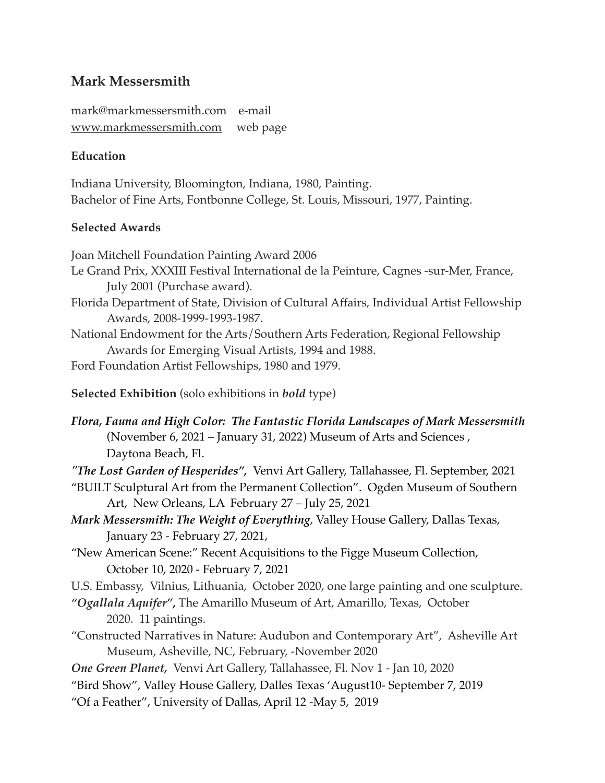# **Mark Messersmith**

mark@markmessersmith.com e-mail [www.markmessersmith.com](http://www.markmessersmith.com) web page

## **Education**

Indiana University, Bloomington, Indiana, 1980, Painting. Bachelor of Fine Arts, Fontbonne College, St. Louis, Missouri, 1977, Painting.

### **Selected Awards**

Joan Mitchell Foundation Painting Award 2006 Le Grand Prix, XXXIII Festival International de la Peinture, Cagnes -sur-Mer, France, July 2001 (Purchase award). Florida Department of State, Division of Cultural Affairs, Individual Artist Fellowship Awards, 2008-1999-1993-1987. National Endowment for the Arts/Southern Arts Federation, Regional Fellowship Awards for Emerging Visual Artists, 1994 and 1988. Ford Foundation Artist Fellowships, 1980 and 1979. **Selected Exhibition** (solo exhibitions in *bold* type)

*Flora, Fauna and High Color: The Fantastic Florida Landscapes of Mark Messersmith*  (November 6, 2021 – January 31, 2022) Museum of Arts and Sciences , Daytona Beach, Fl.

*"The Lost Garden of Hesperides",* Venvi Art Gallery, Tallahassee, Fl. September, 2021

- "BUILT Sculptural Art from the Permanent Collection". Ogden Museum of Southern Art, New Orleans, LA February 27 – July 25, 2021
- *Mark Messersmith: The Weight of Everything*, Valley House Gallery, Dallas Texas, January 23 - February 27, 2021,
- "New American Scene:" Recent Acquisitions to the Figge Museum Collection, October 10, 2020 - February 7, 2021
- U.S. Embassy, Vilnius, Lithuania, October 2020, one large painting and one sculpture.
- *"Ogallala Aquifer"***,** The Amarillo Museum of Art, Amarillo, Texas, October 2020. 11 paintings.
- "Constructed Narratives in Nature: Audubon and Contemporary Art", Asheville Art Museum, Asheville, NC, February, -November 2020

*One Green Planet,* Venvi Art Gallery, Tallahassee, Fl. Nov 1 - Jan 10, 2020

"Bird Show", Valley House Gallery, Dalles Texas 'August10- September 7, 2019

"Of a Feather", University of Dallas, April 12 -May 5, 2019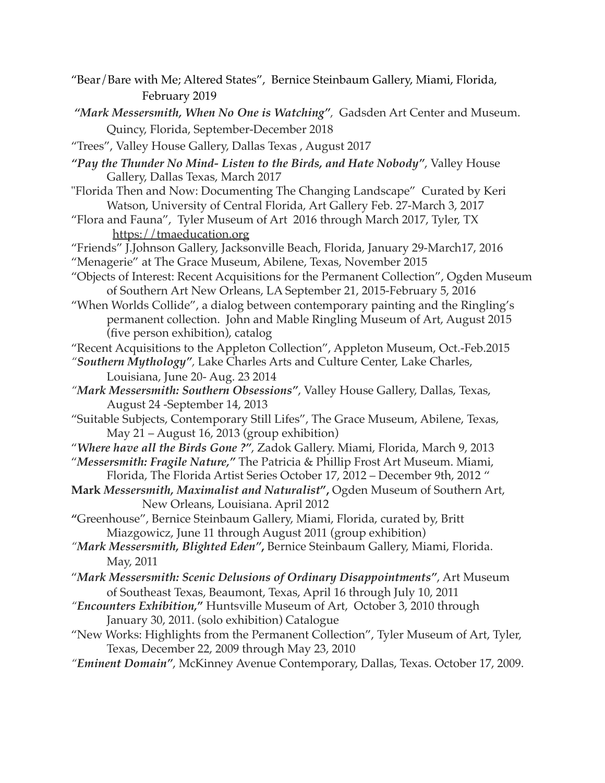- "Bear/Bare with Me; Altered States", Bernice Steinbaum Gallery, Miami, Florida, February 2019
- *"Mark Messersmith, When No One is Watching",* Gadsden Art Center and Museum. Quincy, Florida, September-December 2018
- "Trees", Valley House Gallery, Dallas Texas , August 2017
- *"Pay the Thunder No Mind- Listen to the Birds, and Hate Nobody"*, Valley House Gallery, Dallas Texas, March 2017
- "Florida Then and Now: Documenting The Changing Landscape" Curated by Keri Watson, University of Central Florida, Art Gallery Feb. 27-March 3, 2017
- "Flora and Fauna", Tyler Museum of Art 2016 through March 2017, Tyler, TX <https://tmaeducation.org>
- "Friends" J.Johnson Gallery, Jacksonville Beach, Florida, January 29-March17, 2016 "Menagerie" at The Grace Museum, Abilene, Texas, November 2015
- "Objects of Interest: Recent Acquisitions for the Permanent Collection", Ogden Museum of Southern Art New Orleans, LA September 21, 2015-February 5, 2016
- "When Worlds Collide", a dialog between contemporary painting and the Ringling's permanent collection. John and Mable Ringling Museum of Art, August 2015 (five person exhibition), catalog
- "Recent Acquisitions to the Appleton Collection", Appleton Museum, Oct.-Feb.2015
- *"Southern Mythology",* Lake Charles Arts and Culture Center, Lake Charles, Louisiana, June 20- Aug. 23 2014
- *"Mark Messersmith: Southern Obsessions"*, Valley House Gallery, Dallas, Texas, August 24 -September 14, 2013
- "Suitable Subjects, Contemporary Still Lifes", The Grace Museum, Abilene, Texas, May 21 – August 16, 2013 (group exhibition)
- "*Where have all the Birds Gone ?"*, Zadok Gallery. Miami, Florida, March 9, 2013
- "*Messersmith: Fragile Nature,"* The Patricia & Phillip Frost Art Museum. Miami, Florida, The Florida Artist Series October 17, 2012 – December 9th, 2012 "
- **Mark** *Messersmith, Maximalist and Naturalist***",** Ogden Museum of Southern Art, New Orleans, Louisiana. April 2012
- **"**Greenhouse", Bernice Steinbaum Gallery, Miami, Florida, curated by, Britt Miazgowicz, June 11 through August 2011 (group exhibition)
- *"Mark Messersmith, Blighted Eden"***,** Bernice Steinbaum Gallery, Miami, Florida. May, 2011
- "*Mark Messersmith: Scenic Delusions of Ordinary Disappointments"*, Art Museum of Southeast Texas, Beaumont, Texas, April 16 through July 10, 2011
- *"Encounters Exhibition,***"** Huntsville Museum of Art, October 3, 2010 through January 30, 2011. (solo exhibition) Catalogue
- "New Works: Highlights from the Permanent Collection", Tyler Museum of Art, Tyler, Texas, December 22, 2009 through May 23, 2010
- *"Eminent Domain"*, McKinney Avenue Contemporary, Dallas, Texas. October 17, 2009.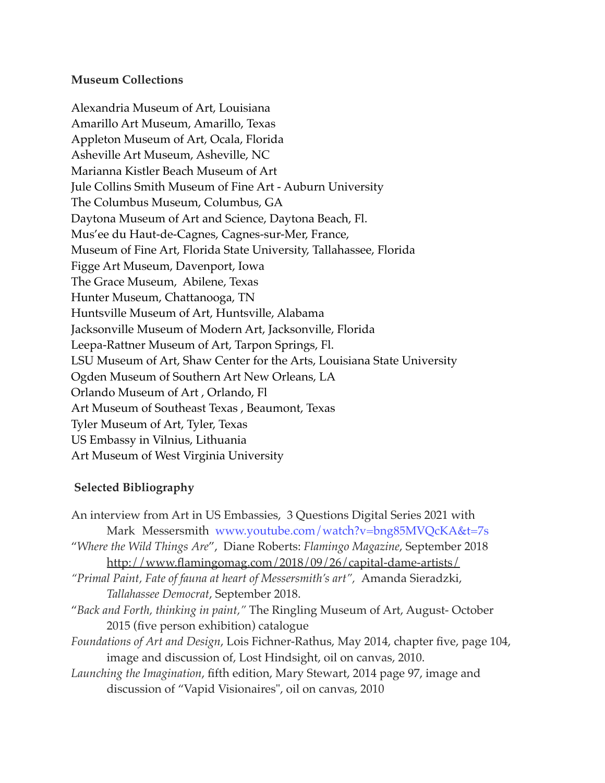#### **Museum Collections**

Alexandria Museum of Art, Louisiana Amarillo Art Museum, Amarillo, Texas Appleton Museum of Art, Ocala, Florida Asheville Art Museum, Asheville, NC Marianna Kistler Beach Museum of Art Jule Collins Smith Museum of Fine Art - Auburn University The Columbus Museum, Columbus, GA Daytona Museum of Art and Science, Daytona Beach, Fl. Mus'ee du Haut-de-Cagnes, Cagnes-sur-Mer, France, Museum of Fine Art, Florida State University, Tallahassee, Florida Figge Art Museum, Davenport, Iowa The Grace Museum, Abilene, Texas Hunter Museum, Chattanooga, TN Huntsville Museum of Art, Huntsville, Alabama Jacksonville Museum of Modern Art, Jacksonville, Florida Leepa-Rattner Museum of Art, Tarpon Springs, Fl. LSU Museum of Art, Shaw Center for the Arts, Louisiana State University Ogden Museum of Southern Art New Orleans, LA Orlando Museum of Art , Orlando, Fl Art Museum of Southeast Texas , Beaumont, Texas Tyler Museum of Art, Tyler, Texas US Embassy in Vilnius, Lithuania Art Museum of West Virginia University

### **Selected Bibliography**

An interview from Art in US Embassies, 3 Questions Digital Series 2021 with Mark Messersmith www.youtube.com/watch?v=bng85MVQcKA&t=7s "*Where the Wild Things Are*", Diane Roberts: *Flamingo Magazine*, September 2018 <http://www.flamingomag.com/2018/09/26/capital-dame-artists/> *"Primal Paint, Fate of fauna at heart of Messersmith's art",* Amanda Sieradzki, *Tallahassee Democrat*, September 2018. "*Back and Forth, thinking in paint,"* The Ringling Museum of Art, August- October 2015 (five person exhibition) catalogue *Foundations of Art and Design*, Lois Fichner-Rathus, May 2014, chapter five, page 104, image and discussion of, Lost Hindsight, oil on canvas, 2010. *Launching the Imagination*, fifth edition, Mary Stewart, 2014 page 97, image and discussion of "Vapid Visionaires", oil on canvas, 2010